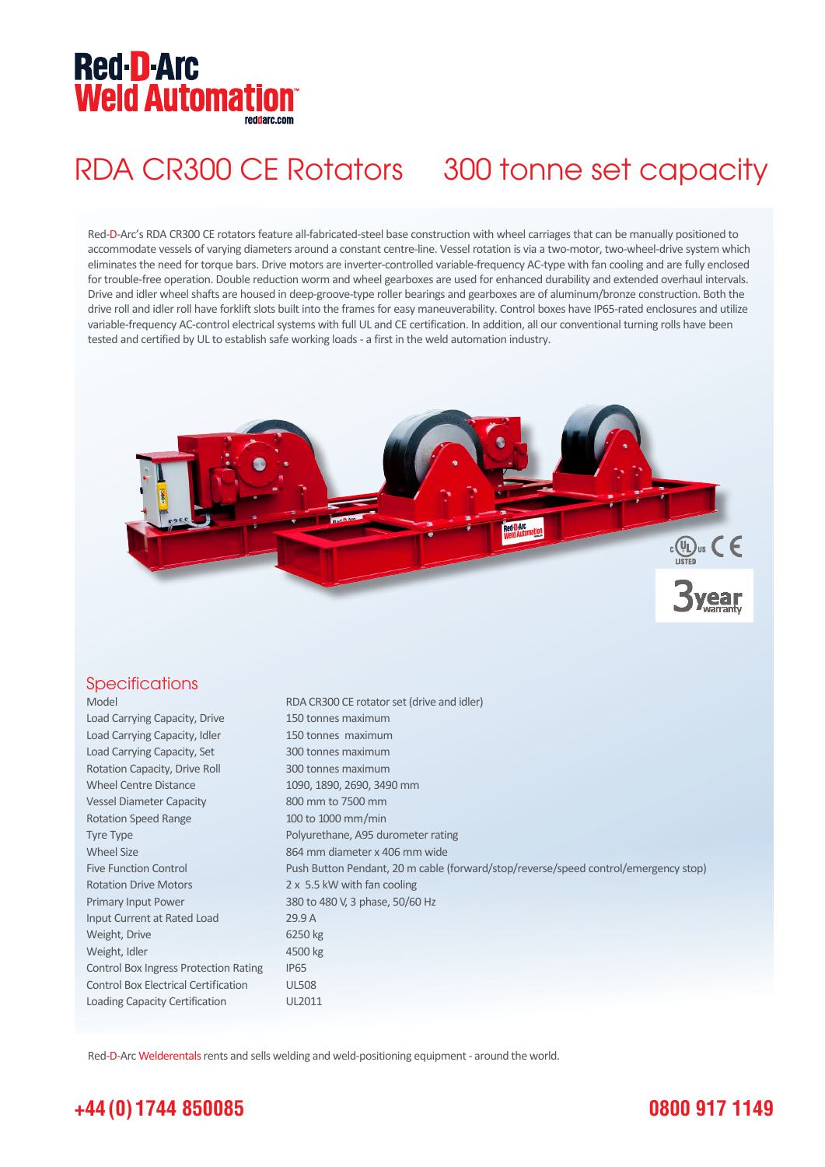# **Red-D-Arc Weld Automation®**

## RDA CR300 CE Rotators 300 tonne set capacity

Red-D-Arc's RDA CR300 CE rotators feature all-fabricated-steel base construction with wheel carriages that can be manually positioned to accommodate vessels of varying diameters around a constant centre-line. Vessel rotation is via a two-motor, two-wheel-drive system which eliminates the need for torque bars. Drive motors are inverter-controlled variable-frequency AC-type with fan cooling and are fully enclosed for trouble-free operation. Double reduction worm and wheel gearboxes are used for enhanced durability and extended overhaul intervals. Drive and idler wheel shafts are housed in deep-groove-type roller bearings and gearboxes are of aluminum/bronze construction. Both the drive roll and idler roll have forklift slots built into the frames for easy maneuverability. Control boxes have IP65-rated enclosures and utilize variable-frequency AC-control electrical systems with full UL and CE certification. In addition, all our conventional turning rolls have been tested and certified by UL to establish safe working loads - a first in the weld automation industry.



### **Specifications**

| Model                                        | RDA CR300 CE rotator set (drive and idler)                                          |
|----------------------------------------------|-------------------------------------------------------------------------------------|
| Load Carrying Capacity, Drive                | 150 tonnes maximum                                                                  |
| Load Carrying Capacity, Idler                | 150 tonnes maximum                                                                  |
| Load Carrying Capacity, Set                  | 300 tonnes maximum                                                                  |
| Rotation Capacity, Drive Roll                | 300 tonnes maximum                                                                  |
| <b>Wheel Centre Distance</b>                 | 1090, 1890, 2690, 3490 mm                                                           |
| <b>Vessel Diameter Capacity</b>              | 800 mm to 7500 mm                                                                   |
| <b>Rotation Speed Range</b>                  | 100 to 1000 mm/min                                                                  |
| Tyre Type                                    | Polyurethane, A95 durometer rating                                                  |
| <b>Wheel Size</b>                            | 864 mm diameter x 406 mm wide                                                       |
| <b>Five Function Control</b>                 | Push Button Pendant, 20 m cable (forward/stop/reverse/speed control/emergency stop) |
| <b>Rotation Drive Motors</b>                 | 2 x 5.5 kW with fan cooling                                                         |
| Primary Input Power                          | 380 to 480 V, 3 phase, 50/60 Hz                                                     |
| Input Current at Rated Load                  | 29.9 A                                                                              |
| Weight, Drive                                | 6250 kg                                                                             |
| Weight, Idler                                | 4500 kg                                                                             |
| <b>Control Box Ingress Protection Rating</b> | IP <sub>65</sub>                                                                    |
| <b>Control Box Electrical Certification</b>  | <b>UL508</b>                                                                        |
| Loading Capacity Certification               | UL2011                                                                              |

Red-D-Arc Welderentals rents and sells welding and weld-positioning equipment - around the world.

## **+44 (0) 1744 850085**

## **0800 917 1149**